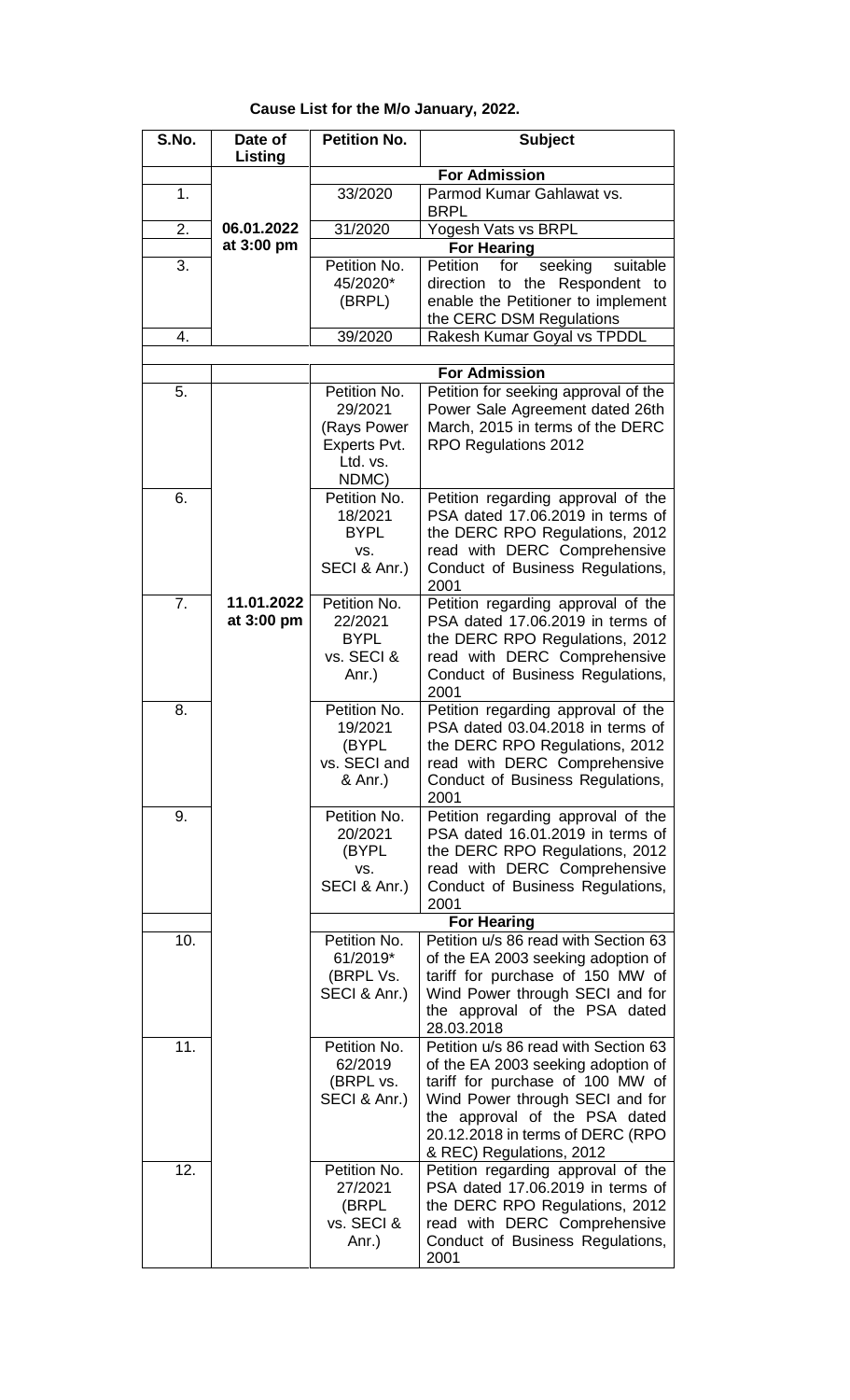## **Cause List for the M/o January, 2022.**

| S.No.          | Date of<br>Listing | <b>Petition No.</b>         | <b>Subject</b>                                                          |
|----------------|--------------------|-----------------------------|-------------------------------------------------------------------------|
|                |                    |                             | <b>For Admission</b>                                                    |
| 1 <sub>1</sub> |                    | 33/2020                     | Parmod Kumar Gahlawat vs.<br><b>BRPL</b>                                |
| 2.             | 06.01.2022         | 31/2020                     | Yogesh Vats vs BRPL                                                     |
|                | at 3:00 pm         |                             | <b>For Hearing</b>                                                      |
| 3.             |                    | Petition No.                | Petition<br>seeking<br>suitable<br>for                                  |
|                |                    | 45/2020*                    | direction to the Respondent to                                          |
|                |                    | (BRPL)                      | enable the Petitioner to implement<br>the CERC DSM Regulations          |
| 4.             |                    | 39/2020                     | Rakesh Kumar Goyal vs TPDDL                                             |
|                |                    |                             |                                                                         |
|                |                    |                             | <b>For Admission</b>                                                    |
| 5.             |                    | Petition No.<br>29/2021     | Petition for seeking approval of the<br>Power Sale Agreement dated 26th |
|                |                    | (Rays Power<br>Experts Pvt. | March, 2015 in terms of the DERC<br>RPO Regulations 2012                |
|                |                    | Ltd. vs.<br>NDMC)           |                                                                         |
| 6.             |                    | Petition No.                | Petition regarding approval of the                                      |
|                |                    | 18/2021                     | PSA dated 17.06.2019 in terms of                                        |
|                |                    | <b>BYPL</b>                 | the DERC RPO Regulations, 2012                                          |
|                |                    | VS.                         | read with DERC Comprehensive                                            |
|                |                    | SECI & Anr.)                | Conduct of Business Regulations,                                        |
|                | 11.01.2022         |                             | 2001                                                                    |
| 7.             |                    | Petition No.                | Petition regarding approval of the                                      |
|                | at 3:00 pm         | 22/2021                     | PSA dated 17.06.2019 in terms of                                        |
|                |                    | <b>BYPL</b><br>vs. SECI &   | the DERC RPO Regulations, 2012                                          |
|                |                    |                             | read with DERC Comprehensive<br>Conduct of Business Regulations,        |
|                |                    | Anr.)                       | 2001                                                                    |
| 8.             |                    | Petition No.                | Petition regarding approval of the                                      |
|                |                    | 19/2021                     | PSA dated 03.04.2018 in terms of                                        |
|                |                    | (BYPL                       | the DERC RPO Regulations, 2012                                          |
|                |                    | vs. SECI and                | read with DERC Comprehensive                                            |
|                |                    | & Anr.)                     | Conduct of Business Regulations,                                        |
|                |                    |                             | 2001                                                                    |
| 9.             |                    | Petition No.                | Petition regarding approval of the                                      |
|                |                    | 20/2021                     | PSA dated 16.01.2019 in terms of                                        |
|                |                    | (BYPL                       | the DERC RPO Regulations, 2012                                          |
|                |                    | VS.                         | read with DERC Comprehensive                                            |
|                |                    | SECI & Anr.)                | Conduct of Business Regulations,                                        |
|                |                    |                             | 2001                                                                    |
|                |                    |                             | <b>For Hearing</b>                                                      |
| 10.            |                    | Petition No.                | Petition u/s 86 read with Section 63                                    |
|                |                    | 61/2019*                    | of the EA 2003 seeking adoption of                                      |
|                |                    | (BRPL Vs.                   | tariff for purchase of 150 MW of                                        |
|                |                    | SECI & Anr.)                | Wind Power through SECI and for                                         |
|                |                    |                             | the approval of the PSA dated<br>28.03.2018                             |
| 11.            |                    | Petition No.                | Petition u/s 86 read with Section 63                                    |
|                |                    | 62/2019                     | of the EA 2003 seeking adoption of                                      |
|                |                    | (BRPL vs.                   | tariff for purchase of 100 MW of                                        |
|                |                    | SECI & Anr.)                | Wind Power through SECI and for                                         |
|                |                    |                             | the approval of the PSA dated                                           |
|                |                    |                             | 20.12.2018 in terms of DERC (RPO                                        |
|                |                    |                             | & REC) Regulations, 2012                                                |
| 12.            |                    | Petition No.                | Petition regarding approval of the                                      |
|                |                    | 27/2021                     | PSA dated 17.06.2019 in terms of                                        |
|                |                    | (BRPL                       | the DERC RPO Regulations, 2012                                          |
|                |                    | vs. SECI &                  | read with DERC Comprehensive                                            |
|                |                    | Anr.)                       | Conduct of Business Regulations,                                        |
|                |                    |                             | 2001                                                                    |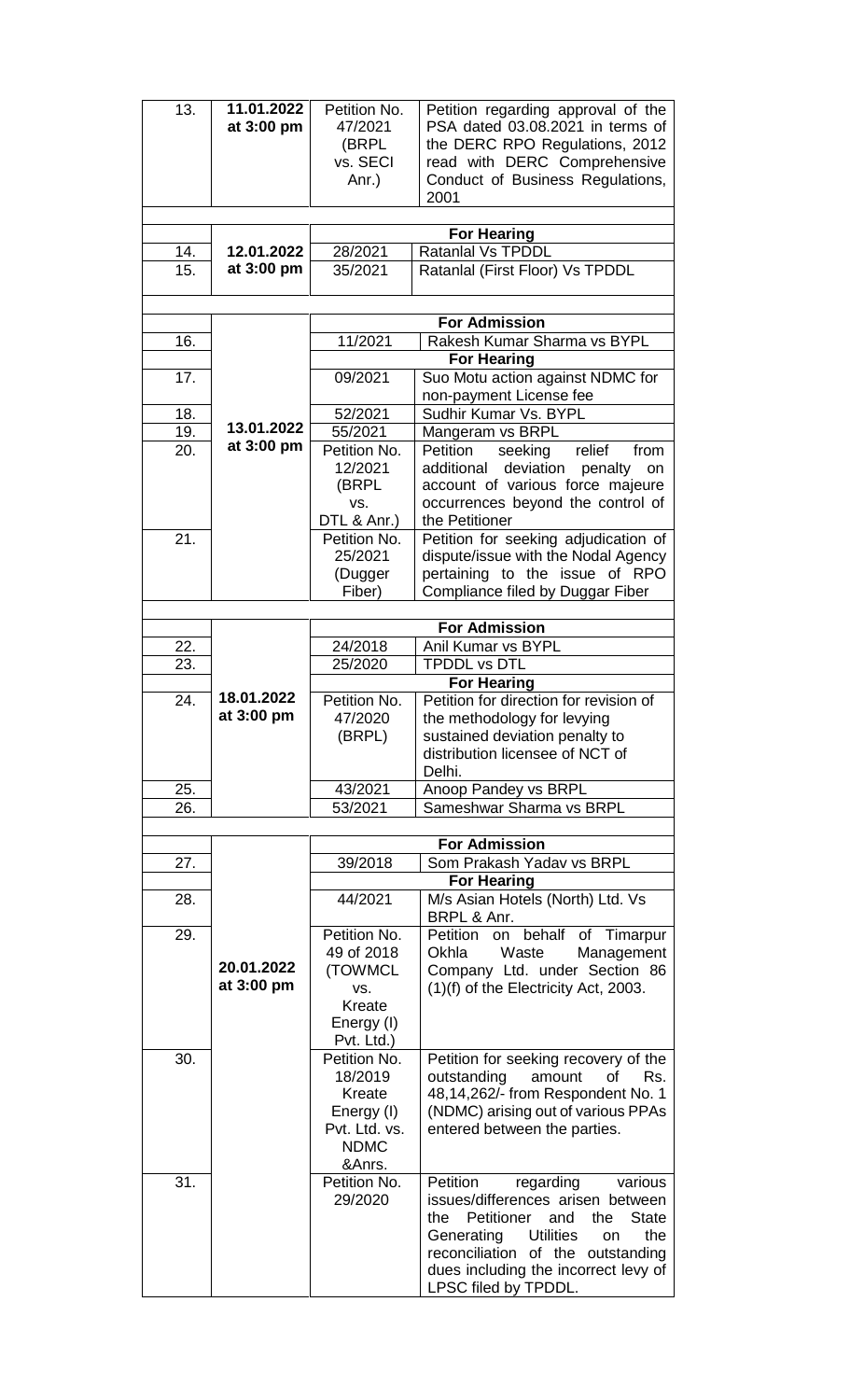| 13. | 11.01.2022<br>at 3:00 pm | Petition No.<br>47/2021<br>(BRPL<br>vs. SECI<br>Anr.) | Petition regarding approval of the<br>PSA dated 03.08.2021 in terms of<br>the DERC RPO Regulations, 2012<br>read with DERC Comprehensive<br>Conduct of Business Regulations,<br>2001 |
|-----|--------------------------|-------------------------------------------------------|--------------------------------------------------------------------------------------------------------------------------------------------------------------------------------------|
|     |                          |                                                       |                                                                                                                                                                                      |
| 14. | 12.01.2022               | 28/2021                                               | <b>For Hearing</b><br><b>Ratanlal Vs TPDDL</b>                                                                                                                                       |
| 15. | at 3:00 pm               | 35/2021                                               | Ratanlal (First Floor) Vs TPDDL                                                                                                                                                      |
|     |                          |                                                       |                                                                                                                                                                                      |
|     |                          |                                                       |                                                                                                                                                                                      |
|     |                          |                                                       | <b>For Admission</b>                                                                                                                                                                 |
| 16. |                          | 11/2021                                               | Rakesh Kumar Sharma vs BYPL                                                                                                                                                          |
|     |                          |                                                       | <b>For Hearing</b>                                                                                                                                                                   |
| 17. |                          | 09/2021                                               | Suo Motu action against NDMC for<br>non-payment License fee                                                                                                                          |
| 18. |                          | 52/2021                                               | Sudhir Kumar Vs. BYPL                                                                                                                                                                |
| 19. | 13.01.2022               | 55/2021                                               | Mangeram vs BRPL                                                                                                                                                                     |
| 20. | at 3:00 pm               | Petition No.                                          | Petition<br>seeking<br>relief<br>from                                                                                                                                                |
|     |                          | 12/2021                                               | additional<br>deviation penalty<br>on                                                                                                                                                |
|     |                          | (BRPL                                                 | account of various force majeure                                                                                                                                                     |
|     |                          | VS.                                                   | occurrences beyond the control of                                                                                                                                                    |
|     |                          | DTL & Anr.)                                           | the Petitioner                                                                                                                                                                       |
| 21. |                          | Petition No.<br>25/2021                               | Petition for seeking adjudication of<br>dispute/issue with the Nodal Agency                                                                                                          |
|     |                          | (Dugger                                               | pertaining to the issue of RPO                                                                                                                                                       |
|     |                          | Fiber)                                                | Compliance filed by Duggar Fiber                                                                                                                                                     |
|     |                          |                                                       |                                                                                                                                                                                      |
|     |                          |                                                       | <b>For Admission</b>                                                                                                                                                                 |
| 22. |                          | 24/2018                                               | Anil Kumar vs BYPL                                                                                                                                                                   |
| 23. |                          | 25/2020                                               | TPDDL vs DTL                                                                                                                                                                         |
|     | 18.01.2022               |                                                       | <b>For Hearing</b><br>Petition for direction for revision of                                                                                                                         |
| 24. | at 3:00 pm               | Petition No.<br>47/2020                               | the methodology for levying                                                                                                                                                          |
|     |                          | (BRPL)                                                | sustained deviation penalty to                                                                                                                                                       |
|     |                          |                                                       | distribution licensee of NCT of                                                                                                                                                      |
|     |                          |                                                       | Delhi.                                                                                                                                                                               |
| 25. |                          | 43/2021                                               | Anoop Pandey vs BRPL                                                                                                                                                                 |
| 26. |                          | 53/2021                                               | Sameshwar Sharma vs BRPL                                                                                                                                                             |
|     |                          |                                                       | <b>For Admission</b>                                                                                                                                                                 |
| 27. |                          | 39/2018                                               | Som Prakash Yadav vs BRPL                                                                                                                                                            |
|     |                          |                                                       | <b>For Hearing</b>                                                                                                                                                                   |
| 28. |                          | 44/2021                                               | M/s Asian Hotels (North) Ltd. Vs                                                                                                                                                     |
|     |                          |                                                       | BRPL & Anr.                                                                                                                                                                          |
| 29. |                          | Petition No.                                          | Petition on behalf<br>of Timarpur                                                                                                                                                    |
|     | 20.01.2022               | 49 of 2018                                            | Waste<br>Okhla<br>Management                                                                                                                                                         |
|     | at 3:00 pm               | (TOWMCL<br>VS.                                        | Company Ltd. under Section 86<br>$(1)(f)$ of the Electricity Act, 2003.                                                                                                              |
|     |                          | Kreate                                                |                                                                                                                                                                                      |
|     |                          | Energy (I)                                            |                                                                                                                                                                                      |
|     |                          | Pvt. Ltd.)                                            |                                                                                                                                                                                      |
| 30. |                          | Petition No.                                          | Petition for seeking recovery of the                                                                                                                                                 |
|     |                          | 18/2019                                               | outstanding<br>amount<br>of<br>Rs.                                                                                                                                                   |
|     |                          | Kreate                                                | 48,14,262/- from Respondent No. 1                                                                                                                                                    |
|     |                          | Energy (I)<br>Pvt. Ltd. vs.                           | (NDMC) arising out of various PPAs                                                                                                                                                   |
|     |                          | <b>NDMC</b>                                           | entered between the parties.                                                                                                                                                         |
|     |                          | &Anrs.                                                |                                                                                                                                                                                      |
| 31. |                          | Petition No.                                          | Petition<br>regarding<br>various                                                                                                                                                     |
|     |                          | 29/2020                                               | issues/differences arisen between                                                                                                                                                    |
|     |                          |                                                       | Petitioner<br>and<br><b>State</b><br>the<br>the                                                                                                                                      |
|     |                          |                                                       | Generating Utilities<br>the<br><b>on</b>                                                                                                                                             |
|     |                          |                                                       | reconciliation of the outstanding                                                                                                                                                    |
|     |                          |                                                       | dues including the incorrect levy of<br>LPSC filed by TPDDL.                                                                                                                         |
|     |                          |                                                       |                                                                                                                                                                                      |